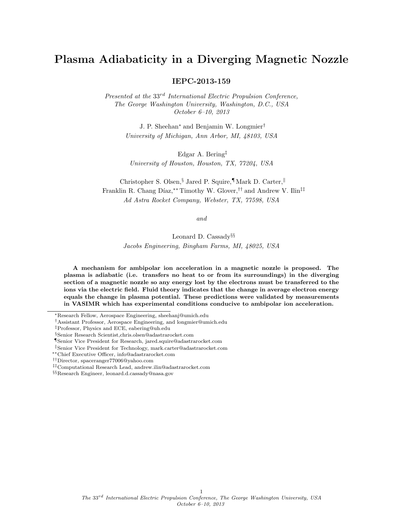# Plasma Adiabaticity in a Diverging Magnetic Nozzle

IEPC-2013-159

Presented at the  $33^{rd}$  International Electric Propulsion Conference, The George Washington University, Washington, D.C., USA October 6–10, 2013

> J. P. Sheehan<sup>∗</sup> and Benjamin W. Longmier† University of Michigan, Ann Arbor, MI, 48103, USA

Edgar A. Bering‡ University of Houston, Houston, TX, 77204, USA

Christopher S. Olsen,§ Jared P. Squire,¶ Mark D. Carter,<sup>k</sup> Franklin R. Chang Díaz,<sup>\*\*</sup> Timothy W. Glover,<sup>††</sup> and Andrew V. Ilin<sup>‡‡</sup> Ad Astra Rocket Company, Webster, TX, 77598, USA

and

Leonard D. Cassady§§ Jacobs Engineering, Bingham Farms, MI, 48025, USA

A mechanism for ambipolar ion acceleration in a magnetic nozzle is proposed. The plasma is adiabatic (i.e. transfers no heat to or from its surroundings) in the diverging section of a magnetic nozzle so any energy lost by the electrons must be transferred to the ions via the electric field. Fluid theory indicates that the change in average electron energy equals the change in plasma potential. These predictions were validated by measurements in VASIMR which has experimental conditions conducive to ambipolar ion acceleration.

<sup>∗</sup>Research Fellow, Aerospace Engineering, sheehanj@umich.edu

¶Senior Vice President for Research, jared.squire@adastrarocket.com

1

<sup>†</sup>Assistant Professor, Aerospace Engineering, and longmier@umich.edu

<sup>‡</sup>Professor, Physics and ECE, eabering@uh.edu

<sup>§</sup>Senior Research Scientist,chris.olsen@adastrarocket.com

<sup>k</sup>Senior Vice President for Technology, mark.carter@adastrarocket.com

<sup>∗∗</sup>Chief Executive Officer, info@adastrarocket.com

<sup>††</sup>Director, spaceranger77006@yahoo.com

<sup>‡‡</sup>Computational Research Lead, andrew.ilin@adastrarocket.com

<sup>§§</sup>Research Engineer, leonard.d.cassady@nasa.gov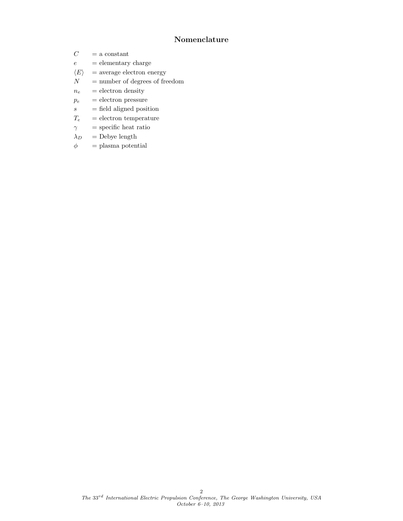## Nomenclature

- $C_{\phantom{\,0}}$  = a constant
- $e =$  elementary charge
- $\langle E \rangle$  = average electron energy
- $N =$  number of degrees of freedom
- $n_e$  = electron density
- $p_e$  = electron pressure
- $s = \text{field aligned position}$
- $T_e$  = electron temperature
- $\gamma = \text{specific heat ratio}$
- $\lambda_D$  = Debye length
- $\phi$  = plasma potential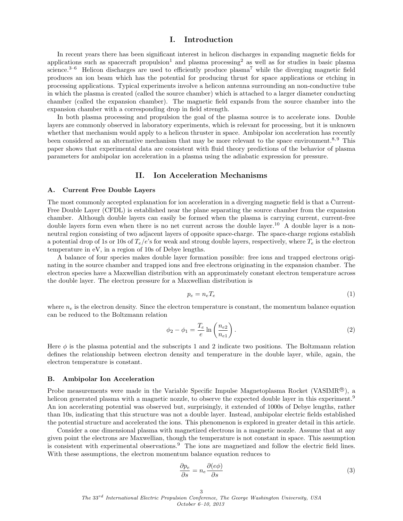## I. Introduction

In recent years there has been significant interest in helicon discharges in expanding magnetic fields for applications such as spacecraft propulsion<sup>1</sup> and plasma processing<sup>2</sup> as well as for studies in basic plasma science. $3-6$  Helicon discharges are used to efficiently produce plasma<sup>7</sup> while the diverging magnetic field produces an ion beam which has the potential for producing thrust for space applications or etching in processing applications. Typical experiments involve a helicon antenna surrounding an non-conductive tube in which the plasma is created (called the source chamber) which is attached to a larger diameter conducting chamber (called the expansion chamber). The magnetic field expands from the source chamber into the expansion chamber with a corresponding drop in field strength.

In both plasma processing and propulsion the goal of the plasma source is to accelerate ions. Double layers are commonly observed in laboratory experiments, which is relevant for processing, but it is unknown whether that mechanism would apply to a helicon thruster in space. Ambipolar ion acceleration has recently been considered as an alternative mechanism that may be more relevant to the space environment.<sup>8, 9</sup> This paper shows that experimental data are consistent with fluid theory predictions of the behavior of plasma parameters for ambipolar ion acceleration in a plasma using the adiabatic expression for pressure.

## II. Ion Acceleration Mechanisms

#### A. Current Free Double Layers

The most commonly accepted explanation for ion acceleration in a diverging magnetic field is that a Current-Free Double Layer (CFDL) is established near the plane separating the source chamber from the expansion chamber. Although double layers can easily be formed when the plasma is carrying current, current-free double layers form even when there is no net current across the double layer.<sup>10</sup> A double layer is a nonneutral region consisting of two adjacent layers of opposite space-charge. The space-charge regions establish a potential drop of 1s or 10s of  $T_e/e$ 's for weak and strong double layers, respectively, where  $T_e$  is the electron temperature in eV, in a region of 10s of Debye lengths.

A balance of four species makes double layer formation possible: free ions and trapped electrons originating in the source chamber and trapped ions and free electrons originating in the expansion chamber. The electron species have a Maxwellian distribution with an approximately constant electron temperature across the double layer. The electron pressure for a Maxwellian distribution is

$$
p_e = n_e T_e \tag{1}
$$

where  $n_e$  is the electron density. Since the electron temperature is constant, the momentum balance equation can be reduced to the Boltzmann relation

$$
\phi_2 - \phi_1 = \frac{T_e}{e} \ln \left( \frac{n_{e2}}{n_{e1}} \right). \tag{2}
$$

Here  $\phi$  is the plasma potential and the subscripts 1 and 2 indicate two positions. The Boltzmann relation defines the relationship between electron density and temperature in the double layer, while, again, the electron temperature is constant.

#### B. Ambipolar Ion Acceleration

Probe measurements were made in the Variable Specific Impulse Magnetoplasma Rocket (VASIMR $^{\circledR}$ ), a helicon generated plasma with a magnetic nozzle, to observe the expected double layer in this experiment.<sup>9</sup> An ion accelerating potential was observed but, surprisingly, it extended of 1000s of Debye lengths, rather than 10s, indicating that this structure was not a double layer. Instead, ambipolar electric fields established the potential structure and accelerated the ions. This phenomenon is explored in greater detail in this article.

Consider a one dimensional plasma with magnetized electrons in a magnetic nozzle. Assume that at any given point the electrons are Maxwellian, though the temperature is not constant in space. This assumption is consistent with experimental observations.<sup>9</sup> The ions are magnetized and follow the electric field lines. With these assumptions, the electron momentum balance equation reduces to

$$
\frac{\partial p_e}{\partial s} = n_e \frac{\partial (e\phi)}{\partial s} \tag{3}
$$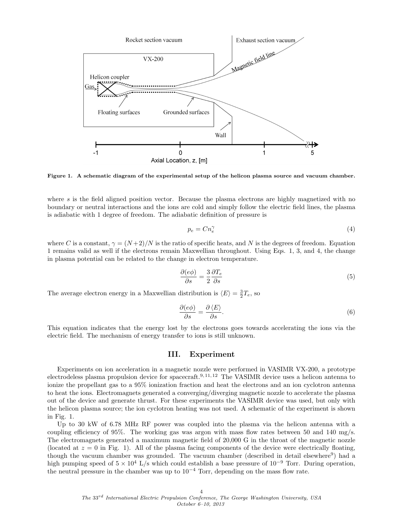

Figure 1. A schematic diagram of the experimental setup of the helicon plasma source and vacuum chamber.

where  $s$  is the field aligned position vector. Because the plasma electrons are highly magnetized with no boundary or neutral interactions and the ions are cold and simply follow the electric field lines, the plasma is adiabatic with 1 degree of freedom. The adiabatic definition of pressure is

$$
p_e = Cn_e^{\gamma} \tag{4}
$$

where C is a constant,  $\gamma = (N+2)/N$  is the ratio of specific heats, and N is the degrees of freedom. Equation 1 remains valid as well if the electrons remain Maxwellian throughout. Using Eqs. 1, 3, and 4, the change in plasma potential can be related to the change in electron temperature.

$$
\frac{\partial (e\phi)}{\partial s} = \frac{3}{2} \frac{\partial T_e}{\partial s} \tag{5}
$$

The average electron energy in a Maxwellian distribution is  $\langle E \rangle = \frac{3}{2}T_e$ , so

$$
\frac{\partial (e\phi)}{\partial s} = \frac{\partial \langle E \rangle}{\partial s}.
$$
\n(6)

This equation indicates that the energy lost by the electrons goes towards accelerating the ions via the electric field. The mechanism of energy transfer to ions is still unknown.

## III. Experiment

Experiments on ion acceleration in a magnetic nozzle were performed in VASIMR VX-200, a prototype electrodeless plasma propulsion device for spacecraft.9, 11, 12 The VASIMR device uses a helicon antenna to ionize the propellant gas to a 95% ionization fraction and heat the electrons and an ion cyclotron antenna to heat the ions. Electromagnets generated a converging/diverging magnetic nozzle to accelerate the plasma out of the device and generate thrust. For these experiments the VASIMR device was used, but only with the helicon plasma source; the ion cyclotron heating was not used. A schematic of the experiment is shown in Fig. 1.

Up to 30 kW of 6.78 MHz RF power was coupled into the plasma via the helicon antenna with a coupling efficiency of 95%. The working gas was argon with mass flow rates between 50 and 140 mg/s. The electromagnets generated a maximum magnetic field of 20,000 G in the throat of the magnetic nozzle (located at  $z = 0$  in Fig. 1). All of the plasma facing components of the device were electrically floating, though the vacuum chamber was grounded. The vacuum chamber (described in detail elsewhere<sup>9</sup>) had a high pumping speed of  $5 \times 10^4$  L/s which could establish a base pressure of  $10^{-9}$  Torr. During operation, the neutral pressure in the chamber was up to  $10^{-4}$  Torr, depending on the mass flow rate.

4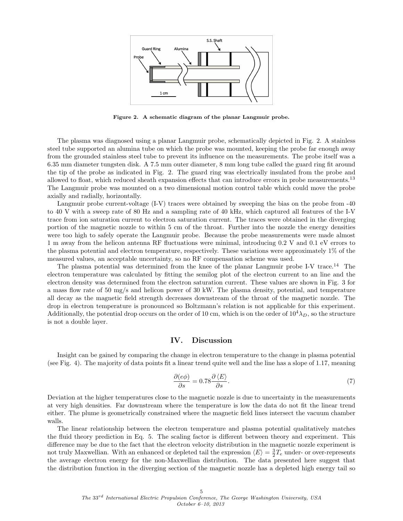

Figure 2. A schematic diagram of the planar Langmuir probe.

The plasma was diagnosed using a planar Langmuir probe, schematically depicted in Fig. 2. A stainless steel tube supported an alumina tube on which the probe was mounted, keeping the probe far enough away from the grounded stainless steel tube to prevent its influence on the measurements. The probe itself was a 6.35 mm diameter tungsten disk. A 7.5 mm outer diameter, 8 mm long tube called the guard ring fit around the tip of the probe as indicated in Fig. 2. The guard ring was electrically insulated from the probe and allowed to float, which reduced sheath expansion effects that can introduce errors in probe measurements.<sup>13</sup> The Langmuir probe was mounted on a two dimensional motion control table which could move the probe axially and radially, horizontally.

Langmuir probe current-voltage (I-V) traces were obtained by sweeping the bias on the probe from -40 to 40 V with a sweep rate of 80 Hz and a sampling rate of 40 kHz, which captured all features of the I-V trace from ion saturation current to electron saturation current. The traces were obtained in the diverging portion of the magnetic nozzle to within 5 cm of the throat. Further into the nozzle the energy densities were too high to safely operate the Langmuir probe. Because the probe measurements were made almost 1 m away from the helicon antenna RF fluctuations were minimal, introducing 0.2 V and 0.1 eV errors to the plasma potential and electron temperature, respectively. These variations were approximately 1% of the measured values, an acceptable uncertainty, so no RF compensation scheme was used.

The plasma potential was determined from the knee of the planar Langmuir probe I-V trace.<sup>14</sup> The electron temperature was calculated by fitting the semilog plot of the electron current to an line and the electron density was determined from the electron saturation current. These values are shown in Fig. 3 for a mass flow rate of 50 mg/s and helicon power of 30 kW. The plasma density, potential, and temperature all decay as the magnetic field strength decreases downstream of the throat of the magnetic nozzle. The drop in electron temperature is pronounced so Boltzmann's relation is not applicable for this experiment. Additionally, the potential drop occurs on the order of 10 cm, which is on the order of  $10^4\lambda_D$ , so the structure is not a double layer.

## IV. Discussion

Insight can be gained by comparing the change in electron temperature to the change in plasma potential (see Fig. 4). The majority of data points fit a linear trend quite well and the line has a slope of 1.17, meaning

$$
\frac{\partial (e\phi)}{\partial s} = 0.78 \frac{\partial \langle E \rangle}{\partial s}.
$$
\n(7)

Deviation at the higher temperatures close to the magnetic nozzle is due to uncertainty in the measurements at very high densities. Far downstream where the temperature is low the data do not fit the linear trend either. The plume is geometrically constrained where the magnetic field lines intersect the vacuum chamber walls.

The linear relationship between the electron temperature and plasma potential qualitatively matches the fluid theory prediction in Eq. 5. The scaling factor is different between theory and experiment. This difference may be due to the fact that the electron velocity distribution in the magnetic nozzle experiment is not truly Maxwellian. With an enhanced or depleted tail the expression  $\langle E \rangle = \frac{3}{2}T_e$  under- or over-represents the average electron energy for the non-Maxwellian distribution. The data presented here suggest that the distribution function in the diverging section of the magnetic nozzle has a depleted high energy tail so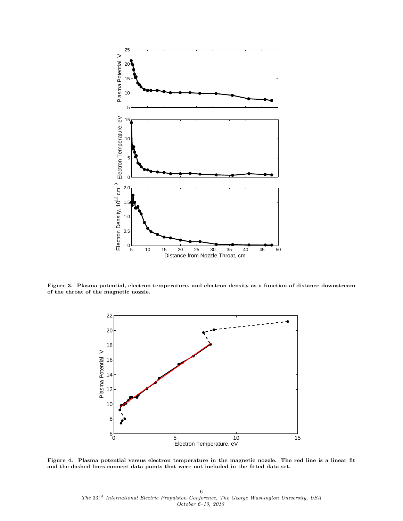

Figure 3. Plasma potential, electron temperature, and electron density as a function of distance downstream of the throat of the magnetic nozzle.



Figure 4. Plasma potential versus electron temperature in the magnetic nozzle. The red line is a linear fit and the dashed lines connect data points that were not included in the fitted data set.